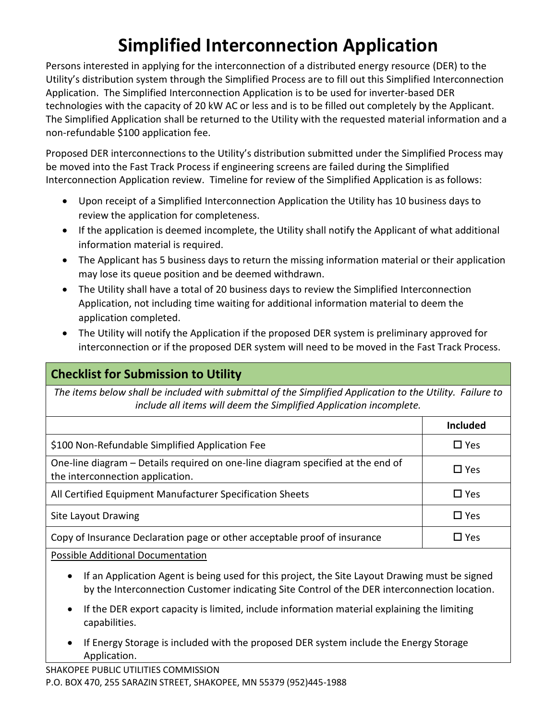# **Simplified Interconnection Application**

Persons interested in applying for the interconnection of a distributed energy resource (DER) to the Utility's distribution system through the Simplified Process are to fill out this Simplified Interconnection Application. The Simplified Interconnection Application is to be used for inverter-based DER technologies with the capacity of 20 kW AC or less and is to be filled out completely by the Applicant. The Simplified Application shall be returned to the Utility with the requested material information and a non-refundable \$100 application fee.

Proposed DER interconnections to the Utility's distribution submitted under the Simplified Process may be moved into the Fast Track Process if engineering screens are failed during the Simplified Interconnection Application review. Timeline for review of the Simplified Application is as follows:

- Upon receipt of a Simplified Interconnection Application the Utility has 10 business days to review the application for completeness.
- If the application is deemed incomplete, the Utility shall notify the Applicant of what additional information material is required.
- The Applicant has 5 business days to return the missing information material or their application may lose its queue position and be deemed withdrawn.
- The Utility shall have a total of 20 business days to review the Simplified Interconnection Application, not including time waiting for additional information material to deem the application completed.
- The Utility will notify the Application if the proposed DER system is preliminary approved for interconnection or if the proposed DER system will need to be moved in the Fast Track Process.

### **Checklist for Submission to Utility**

*The items below shall be included with submittal of the Simplified Application to the Utility. Failure to include all items will deem the Simplified Application incomplete.*

|                                                                                                                     | <b>Included</b> |
|---------------------------------------------------------------------------------------------------------------------|-----------------|
| \$100 Non-Refundable Simplified Application Fee                                                                     | $\square$ Yes   |
| One-line diagram – Details required on one-line diagram specified at the end of<br>the interconnection application. | $\square$ Yes   |
| All Certified Equipment Manufacturer Specification Sheets                                                           | $\square$ Yes   |
| Site Layout Drawing                                                                                                 | $\Box$ Yes      |
| Copy of Insurance Declaration page or other acceptable proof of insurance                                           | □ Yes           |

Possible Additional Documentation

- If an Application Agent is being used for this project, the Site Layout Drawing must be signed by the Interconnection Customer indicating Site Control of the DER interconnection location.
- If the DER export capacity is limited, include information material explaining the limiting capabilities.
- If Energy Storage is included with the proposed DER system include the Energy Storage Application.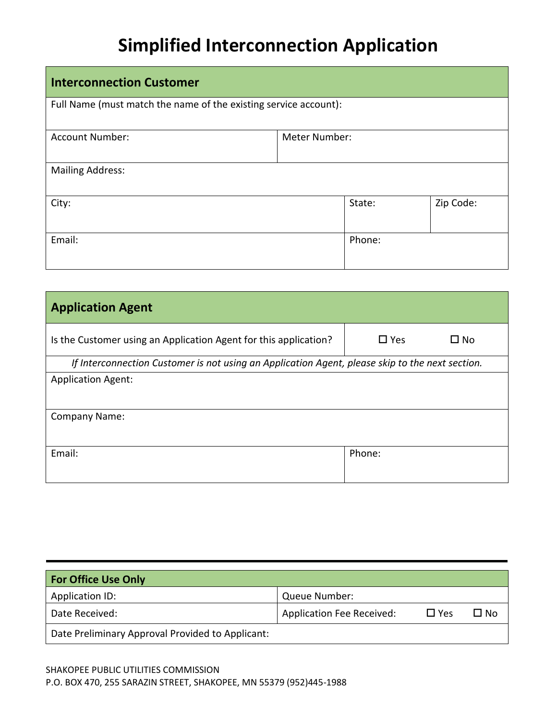## **Simplified Interconnection Application**

| <b>Interconnection Customer</b>                                  |               |        |           |  |
|------------------------------------------------------------------|---------------|--------|-----------|--|
| Full Name (must match the name of the existing service account): |               |        |           |  |
| <b>Account Number:</b>                                           | Meter Number: |        |           |  |
| <b>Mailing Address:</b>                                          |               |        |           |  |
| City:                                                            |               | State: | Zip Code: |  |
| Email:                                                           |               | Phone: |           |  |

| <b>Application Agent</b>                                                                        |                            |  |
|-------------------------------------------------------------------------------------------------|----------------------------|--|
| Is the Customer using an Application Agent for this application?                                | $\Box$ Yes<br>$\square$ No |  |
| If Interconnection Customer is not using an Application Agent, please skip to the next section. |                            |  |
| <b>Application Agent:</b>                                                                       |                            |  |
|                                                                                                 |                            |  |
| <b>Company Name:</b>                                                                            |                            |  |
|                                                                                                 |                            |  |
| Email:                                                                                          | Phone:                     |  |
|                                                                                                 |                            |  |

| <b>For Office Use Only</b>                       |                                  |            |              |
|--------------------------------------------------|----------------------------------|------------|--------------|
| Application ID:                                  | Queue Number:                    |            |              |
| Date Received:                                   | <b>Application Fee Received:</b> | $\Box$ Yes | $\square$ No |
| Date Preliminary Approval Provided to Applicant: |                                  |            |              |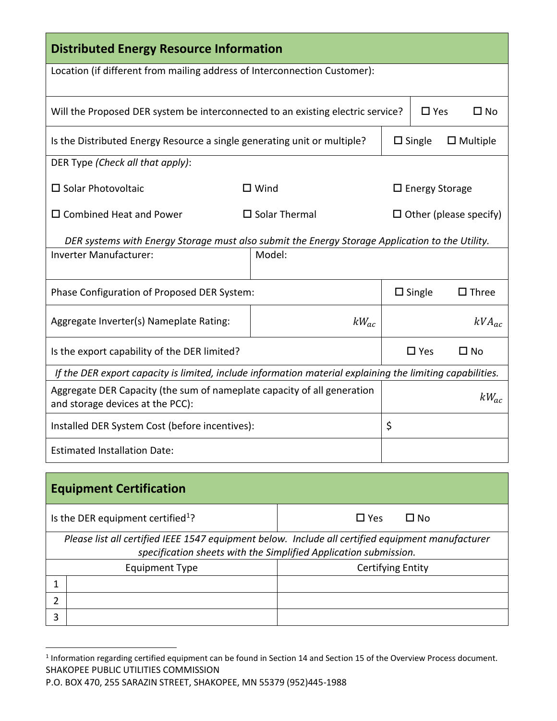| <b>Distributed Energy Resource Information</b>                                                                                                                        |                         |                               |                          |              |
|-----------------------------------------------------------------------------------------------------------------------------------------------------------------------|-------------------------|-------------------------------|--------------------------|--------------|
| Location (if different from mailing address of Interconnection Customer):                                                                                             |                         |                               |                          |              |
| $\square$ Yes<br>Will the Proposed DER system be interconnected to an existing electric service?                                                                      |                         |                               | $\Box$ No                |              |
| $\square$ Single<br>Is the Distributed Energy Resource a single generating unit or multiple?                                                                          |                         |                               | $\Box$ Multiple          |              |
| DER Type (Check all that apply):                                                                                                                                      |                         |                               |                          |              |
| $\square$ Solar Photovoltaic                                                                                                                                          | $\Box$ Wind             |                               | $\square$ Energy Storage |              |
| $\Box$ Combined Heat and Power                                                                                                                                        | $\square$ Solar Thermal | $\Box$ Other (please specify) |                          |              |
| DER systems with Energy Storage must also submit the Energy Storage Application to the Utility.                                                                       |                         |                               |                          |              |
| Inverter Manufacturer:                                                                                                                                                | Model:                  |                               |                          |              |
| Phase Configuration of Proposed DER System:<br>$\square$ Single                                                                                                       |                         |                               | $\square$ Three          |              |
| Aggregate Inverter(s) Nameplate Rating:                                                                                                                               | $kW_{ac}$               |                               |                          | $kVA_{ac}$   |
| Is the export capability of the DER limited?                                                                                                                          |                         |                               | $\Box$ Yes               | $\square$ No |
| If the DER export capacity is limited, include information material explaining the limiting capabilities.                                                             |                         |                               |                          |              |
| Aggregate DER Capacity (the sum of nameplate capacity of all generation<br>and storage devices at the PCC):                                                           |                         |                               |                          | $kW_{ac}$    |
| Installed DER System Cost (before incentives):                                                                                                                        |                         | \$                            |                          |              |
| <b>Estimated Installation Date:</b>                                                                                                                                   |                         |                               |                          |              |
| <b>Equipment Certification</b>                                                                                                                                        |                         |                               |                          |              |
| Is the DER equipment certified <sup>1</sup> ?                                                                                                                         | $\Box$ Yes              |                               | $\square$ No             |              |
| Please list all certified IEEE 1547 equipment below. Include all certified equipment manufacturer<br>specification sheets with the Simplified Application submission. |                         |                               |                          |              |

| specification sheets with the simplified ripplication sabilitished. |  |  |  |  |
|---------------------------------------------------------------------|--|--|--|--|
| <b>Certifying Entity</b><br><b>Equipment Type</b>                   |  |  |  |  |
|                                                                     |  |  |  |  |
|                                                                     |  |  |  |  |
|                                                                     |  |  |  |  |

SHAKOPEE PUBLIC UTILITIES COMMISSION 1 Information regarding certified equipment can be found in Section 14 and Section 15 of the Overview Process document.

P.O. BOX 470, 255 SARAZIN STREET, SHAKOPEE, MN 55379 (952)445-1988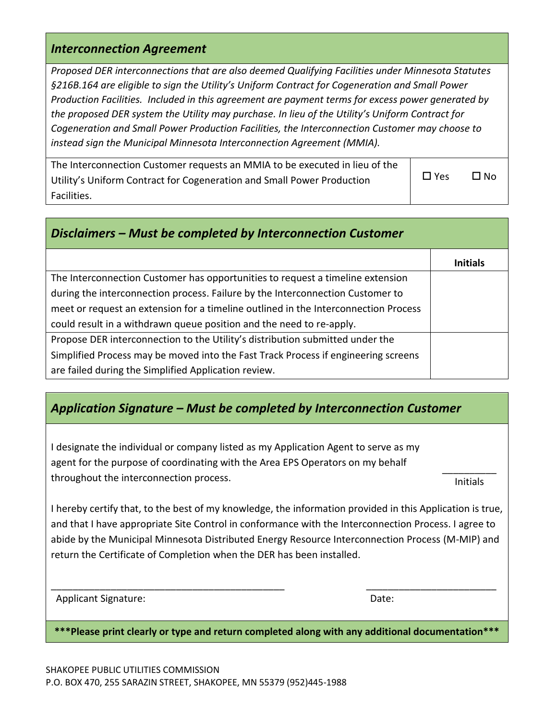#### *Interconnection Agreement*

*Proposed DER interconnections that are also deemed Qualifying Facilities under Minnesota Statutes §216B.164 are eligible to sign the Utility's Uniform Contract for Cogeneration and Small Power Production Facilities. Included in this agreement are payment terms for excess power generated by the proposed DER system the Utility may purchase. In lieu of the Utility's Uniform Contract for Cogeneration and Small Power Production Facilities, the Interconnection Customer may choose to instead sign the Municipal Minnesota Interconnection Agreement (MMIA).*

| The Interconnection Customer requests an MMIA to be executed in lieu of the |            |              |
|-----------------------------------------------------------------------------|------------|--------------|
| Utility's Uniform Contract for Cogeneration and Small Power Production      | $\Box$ Yes | $\square$ No |
| Facilities.                                                                 |            |              |

| Disclaimers - Must be completed by Interconnection Customer                         |                 |
|-------------------------------------------------------------------------------------|-----------------|
|                                                                                     | <b>Initials</b> |
| The Interconnection Customer has opportunities to request a timeline extension      |                 |
| during the interconnection process. Failure by the Interconnection Customer to      |                 |
| meet or request an extension for a timeline outlined in the Interconnection Process |                 |
| could result in a withdrawn queue position and the need to re-apply.                |                 |
| Propose DER interconnection to the Utility's distribution submitted under the       |                 |
| Simplified Process may be moved into the Fast Track Process if engineering screens  |                 |
| are failed during the Simplified Application review.                                |                 |

### *Application Signature – Must be completed by Interconnection Customer*

I designate the individual or company listed as my Application Agent to serve as my agent for the purpose of coordinating with the Area EPS Operators on my behalf throughout the interconnection process.

\_\_\_\_\_\_\_\_\_\_ Initials

I hereby certify that, to the best of my knowledge, the information provided in this Application is true, and that I have appropriate Site Control in conformance with the Interconnection Process. I agree to abide by the Municipal Minnesota Distributed Energy Resource Interconnection Process (M-MIP) and return the Certificate of Completion when the DER has been installed.

Applicant Signature: Date: Date: Date: Date: Date: Date: Date: Date: Date: Date: Date: Date: Date: Date: Date: Date: Date: Date: Date: Date: Date: Date: Date: Date: Date: Date: Date: Date: Date: Date: Date: Date: Date: Dat

**\*\*\*Please print clearly or type and return completed along with any additional documentation\*\*\***

\_\_\_\_\_\_\_\_\_\_\_\_\_\_\_\_\_\_\_\_\_\_\_\_\_\_\_\_\_\_\_\_\_\_\_\_\_\_\_\_\_\_\_ \_\_\_\_\_\_\_\_\_\_\_\_\_\_\_\_\_\_\_\_\_\_\_\_